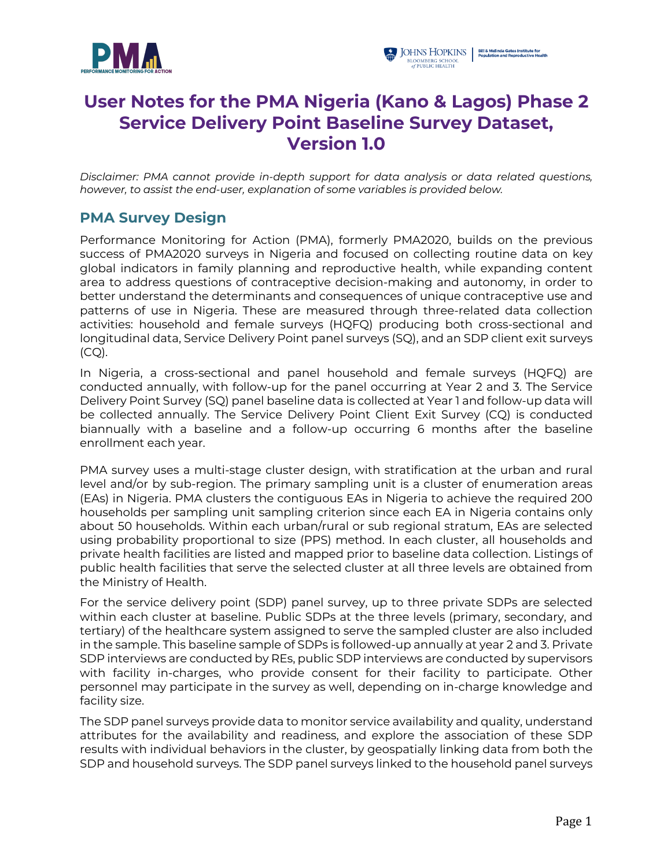



# **User Notes for the PMA Nigeria (Kano & Lagos) Phase 2 Service Delivery Point Baseline Survey Dataset, Version 1.0**

*Disclaimer: PMA cannot provide in-depth support for data analysis or data related questions, however, to assist the end-user, explanation of some variables is provided below.*

## **PMA Survey Design**

Performance Monitoring for Action (PMA), formerly PMA2020, builds on the previous success of PMA2020 surveys in Nigeria and focused on collecting routine data on key global indicators in family planning and reproductive health, while expanding content area to address questions of contraceptive decision-making and autonomy, in order to better understand the determinants and consequences of unique contraceptive use and patterns of use in Nigeria. These are measured through three-related data collection activities: household and female surveys (HQFQ) producing both cross-sectional and longitudinal data, Service Delivery Point panel surveys (SQ), and an SDP client exit surveys  $(CQ)$ .

In Nigeria, a cross-sectional and panel household and female surveys (HQFQ) are conducted annually, with follow-up for the panel occurring at Year 2 and 3. The Service Delivery Point Survey (SQ) panel baseline data is collected at Year 1 and follow-up data will be collected annually. The Service Delivery Point Client Exit Survey (CQ) is conducted biannually with a baseline and a follow-up occurring 6 months after the baseline enrollment each year.

PMA survey uses a multi-stage cluster design, with stratification at the urban and rural level and/or by sub-region. The primary sampling unit is a cluster of enumeration areas (EAs) in Nigeria. PMA clusters the contiguous EAs in Nigeria to achieve the required 200 households per sampling unit sampling criterion since each EA in Nigeria contains only about 50 households. Within each urban/rural or sub regional stratum, EAs are selected using probability proportional to size (PPS) method. In each cluster, all households and private health facilities are listed and mapped prior to baseline data collection. Listings of public health facilities that serve the selected cluster at all three levels are obtained from the Ministry of Health.

For the service delivery point (SDP) panel survey, up to three private SDPs are selected within each cluster at baseline. Public SDPs at the three levels (primary, secondary, and tertiary) of the healthcare system assigned to serve the sampled cluster are also included in the sample. This baseline sample of SDPs is followed-up annually at year 2 and 3. Private SDP interviews are conducted by REs, public SDP interviews are conducted by supervisors with facility in-charges, who provide consent for their facility to participate. Other personnel may participate in the survey as well, depending on in-charge knowledge and facility size.

The SDP panel surveys provide data to monitor service availability and quality, understand attributes for the availability and readiness, and explore the association of these SDP results with individual behaviors in the cluster, by geospatially linking data from both the SDP and household surveys. The SDP panel surveys linked to the household panel surveys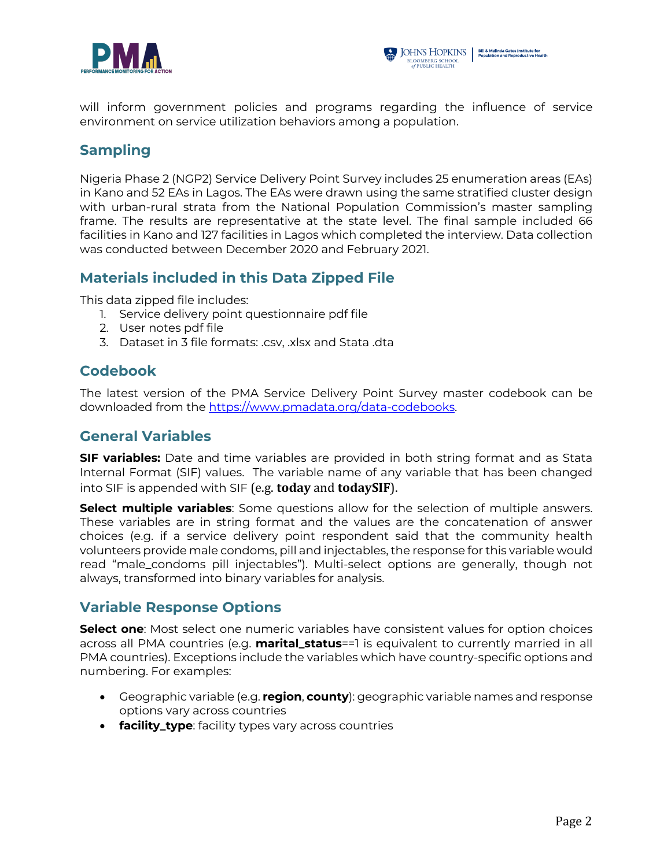



will inform government policies and programs regarding the influence of service environment on service utilization behaviors among a population.

## **Sampling**

Nigeria Phase 2 (NGP2) Service Delivery Point Survey includes 25 enumeration areas (EAs) in Kano and 52 EAs in Lagos. The EAs were drawn using the same stratified cluster design with urban-rural strata from the National Population Commission's master sampling frame. The results are representative at the state level. The final sample included 66 facilities in Kano and 127 facilities in Lagos which completed the interview. Data collection was conducted between December 2020 and February 2021.

## **Materials included in this Data Zipped File**

This data zipped file includes:

- 1. Service delivery point questionnaire pdf file
- 2. User notes pdf file
- 3. Dataset in 3 file formats: .csv, .xlsx and Stata .dta

## **Codebook**

The latest version of the PMA Service Delivery Point Survey master codebook can be downloaded from the https://www.pmadata.org/data-codebooks.

## **General Variables**

**SIF variables:** Date and time variables are provided in both string format and as Stata Internal Format (SIF) values. The variable name of any variable that has been changed into SIF is appended with SIF (e.g. **today** and **todaySIF**).

**Select multiple variables**: Some questions allow for the selection of multiple answers. These variables are in string format and the values are the concatenation of answer choices (e.g. if a service delivery point respondent said that the community health volunteers provide male condoms, pill and injectables, the response for this variable would read "male\_condoms pill injectables"). Multi-select options are generally, though not always, transformed into binary variables for analysis.

## **Variable Response Options**

**Select one**: Most select one numeric variables have consistent values for option choices across all PMA countries (e.g. **marital\_status**==1 is equivalent to currently married in all PMA countries). Exceptions include the variables which have country-specific options and numbering. For examples:

- Geographic variable (e.g. **region**, **county**): geographic variable names and response options vary across countries
- **facility\_type**: facility types vary across countries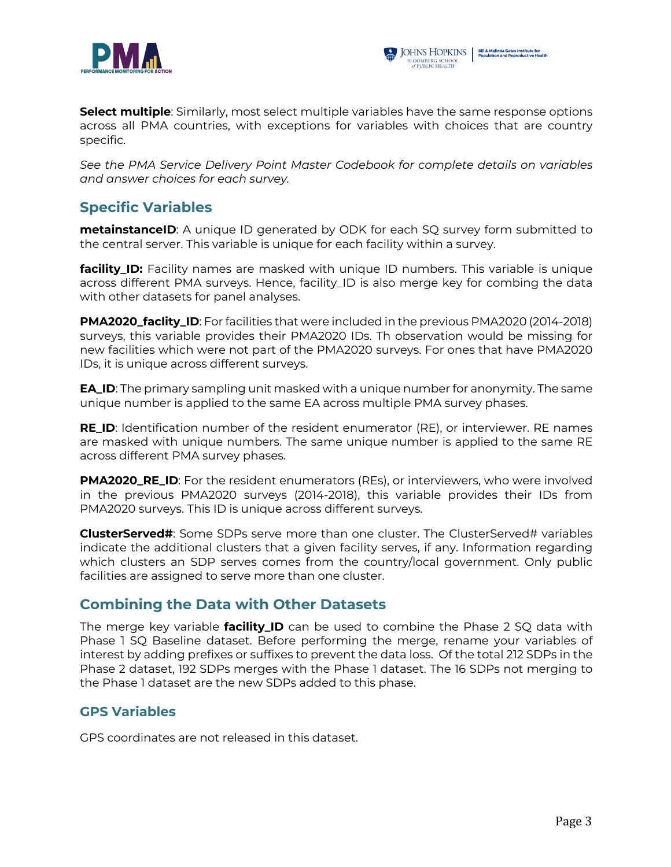



**Select multiple**: Similarly, most select multiple variables have the same response options across all PMA countries, with exceptions for variables with choices that are country specific.

*See the PMA Service Delivery Point Master Codebook for complete details on variables and answer choices for each survey.*

## **Specific Variables**

**metainstanceID**: A unique ID generated by ODK for each SQ survey form submitted to the central server. This variable is unique for each facility within a survey.

**facility\_ID:** Facility names are masked with unique ID numbers. This variable is unique across different PMA surveys. Hence, facility\_ID is also merge key for combing the data with other datasets for panel analyses.

**PMA2020\_faclity\_ID**: For facilities that were included in the previous PMA2020 (2014-2018) surveys, this variable provides their PMA2020 IDs. Th observation would be missing for new facilities which were not part of the PMA2020 surveys. For ones that have PMA2020 IDs, it is unique across different surveys.

**EA\_ID**: The primary sampling unit masked with a unique number for anonymity. The same unique number is applied to the same EA across multiple PMA survey phases.

**RE\_ID**: Identification number of the resident enumerator (RE), or interviewer. RE names are masked with unique numbers. The same unique number is applied to the same RE across different PMA survey phases.

**PMA2020\_RE\_ID**: For the resident enumerators (REs), or interviewers, who were involved in the previous PMA2020 surveys (2014-2018), this variable provides their IDs from PMA2020 surveys. This ID is unique across different surveys.

**ClusterServed#:** Some SDPs serve more than one cluster. The ClusterServed# variables indicate the additional clusters that a given facility serves, if any. Information regarding which clusters an SDP serves comes from the country/local government. Only public facilities are assigned to serve more than one cluster.

#### **Combining the Data with Other Datasets**

The merge key variable **facility\_ID** can be used to combine the Phase 2 SQ data with Phase 1 SQ Baseline dataset. Before performing the merge, rename your variables of interest by adding prefixes or suffixes to prevent the data loss. Of the total 212 SDPs in the Phase 2 dataset, 192 SDPs merges with the Phase 1 dataset. The 16 SDPs not merging to the Phase 1 dataset are the new SDPs added to this phase.

#### **GPS Variables**

GPS coordinates are not released in this dataset.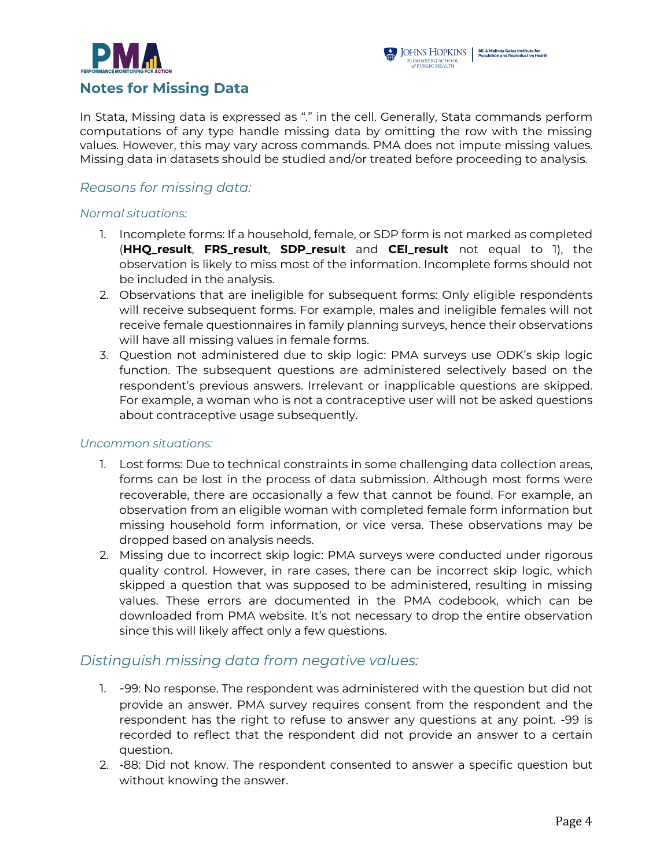



In Stata, Missing data is expressed as "." in the cell. Generally, Stata commands perform computations of any type handle missing data by omitting the row with the missing values. However, this may vary across commands. PMA does not impute missing values. Missing data in datasets should be studied and/or treated before proceeding to analysis.

#### *Reasons for missing data:*

#### *Normal situations:*

- 1. Incomplete forms: If a household, female, or SDP form is not marked as completed (**HHQ\_result**, **FRS\_result**, **SDP\_resu**l**t** and **CEI\_result** not equal to 1), the observation is likely to miss most of the information. Incomplete forms should not be included in the analysis.
- 2. Observations that are ineligible for subsequent forms: Only eligible respondents will receive subsequent forms. For example, males and ineligible females will not receive female questionnaires in family planning surveys, hence their observations will have all missing values in female forms.
- 3. Question not administered due to skip logic: PMA surveys use ODK's skip logic function. The subsequent questions are administered selectively based on the respondent's previous answers. Irrelevant or inapplicable questions are skipped. For example, a woman who is not a contraceptive user will not be asked questions about contraceptive usage subsequently.

#### *Uncommon situations:*

- 1. Lost forms: Due to technical constraints in some challenging data collection areas, forms can be lost in the process of data submission. Although most forms were recoverable, there are occasionally a few that cannot be found. For example, an observation from an eligible woman with completed female form information but missing household form information, or vice versa. These observations may be dropped based on analysis needs.
- 2. Missing due to incorrect skip logic: PMA surveys were conducted under rigorous quality control. However, in rare cases, there can be incorrect skip logic, which skipped a question that was supposed to be administered, resulting in missing values. These errors are documented in the PMA codebook, which can be downloaded from PMA website. It's not necessary to drop the entire observation since this will likely affect only a few questions.

#### *Distinguish missing data from negative values:*

- 1. -99: No response. The respondent was administered with the question but did not provide an answer. PMA survey requires consent from the respondent and the respondent has the right to refuse to answer any questions at any point. -99 is recorded to reflect that the respondent did not provide an answer to a certain question.
- 2. -88: Did not know. The respondent consented to answer a specific question but without knowing the answer.